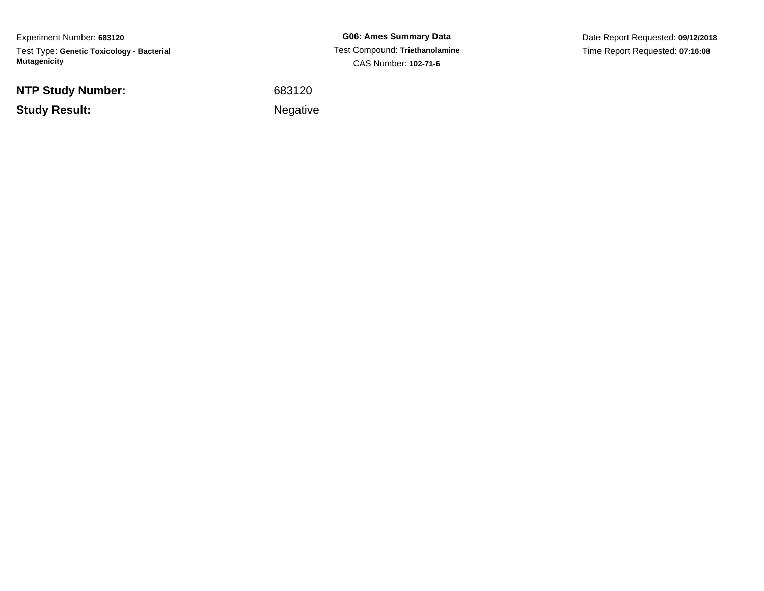Experiment Number: **683120**Test Type: **Genetic Toxicology - Bacterial Mutagenicity**

**NTP Study Number:**

**Study Result:**

**G06: Ames Summary Data** Test Compound: **Triethanolamine**CAS Number: **102-71-6**

Date Report Requested: **09/12/2018**Time Report Requested: **07:16:08**

 <sup>683120</sup>Negative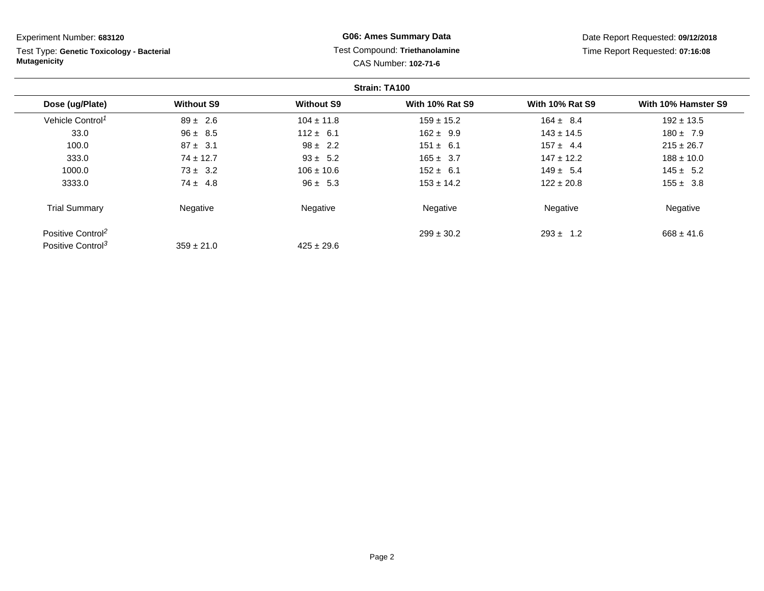**Strain: TA100Dose (ug/Plate) Without S9 Without S9 With 10% Rat S9 With 10% Rat S9 With 10% Hamster S9** Vehicle Control<sup>1</sup>  $89 \pm 2.6$ 6 104 ± 11.8 159 ± 15.2 164 ± 8.4 192 ± 13.5 33.0 96 ± 8.5 112 ± 6.1 162 ± 9.9 143 ± 14.5 180 ± 7.9 100.00 6  $87 \pm 3.1$  98 ± 2.2 151  $\pm 6.1$  157  $\pm 4.4$  215  $\pm 26.7$ 333.0 74 ± 12.7 93 ± 5.2 165 ± 3.7 147 ± 12.2 188 ± 10.0 1000.0 73 ± 3.2 106 ± 10.6 152 ± 6.1 149 ± 5.4 145 ± 5.2 3333.00  $74 \pm 4.8$  96  $\pm 5.3$  153  $\pm 14.2$  122  $\pm 20.8$  155  $\pm 3.8$ Trial Summary Negativee **Negative Regative** Negative Negative Negative Regative Negative Experiment Number: **683120**Test Type: **Genetic Toxicology - BacterialMutagenicityG06: Ames Summary Data** Test Compound: **Triethanolamine**CAS Number: **102-71-6**Date Report Requested: **09/12/2018**Time Report Requested: **07:16:08**

 $425 \pm 29.6$ 

 $299 \pm 30.2$ 

 $293 \pm 1.2$  668  $\pm 41.6$ 

Positive Control<sup>2</sup>

Positive Control<sup>3</sup>

 $359 \pm 21.0$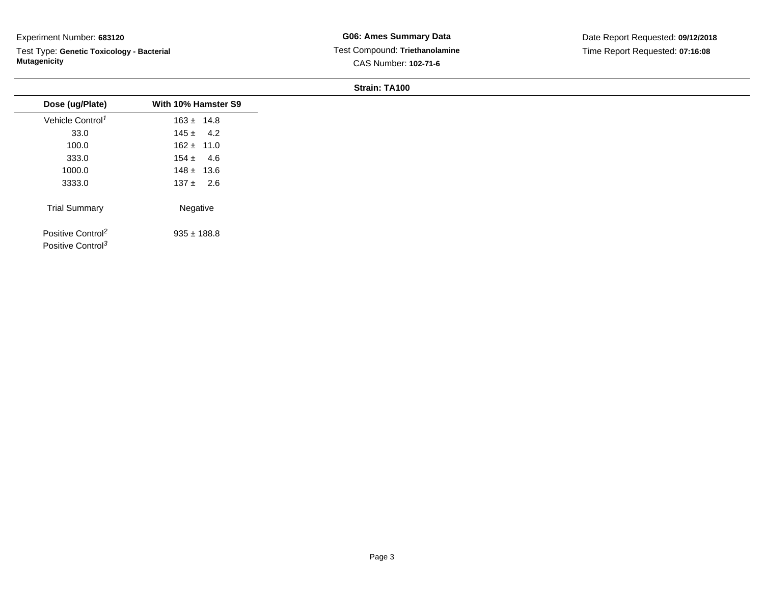Test Type: **Genetic Toxicology - Bacterial Mutagenicity**

| Dose (ug/Plate)               | With 10% Hamster S9 |
|-------------------------------|---------------------|
| Vehicle Control <sup>1</sup>  | $163 \pm 14.8$      |
| 33.0                          | $145 \pm 4.2$       |
| 100.0                         | $162 \pm 11.0$      |
| 333.0                         | $154 \pm 4.6$       |
| 1000.0                        | $148 \pm 13.6$      |
| 3333.0                        | $137 \pm 2.6$       |
| <b>Trial Summary</b>          | Negative            |
| Positive Control <sup>2</sup> | $935 \pm 188.8$     |
| Positive Control <sup>3</sup> |                     |
|                               |                     |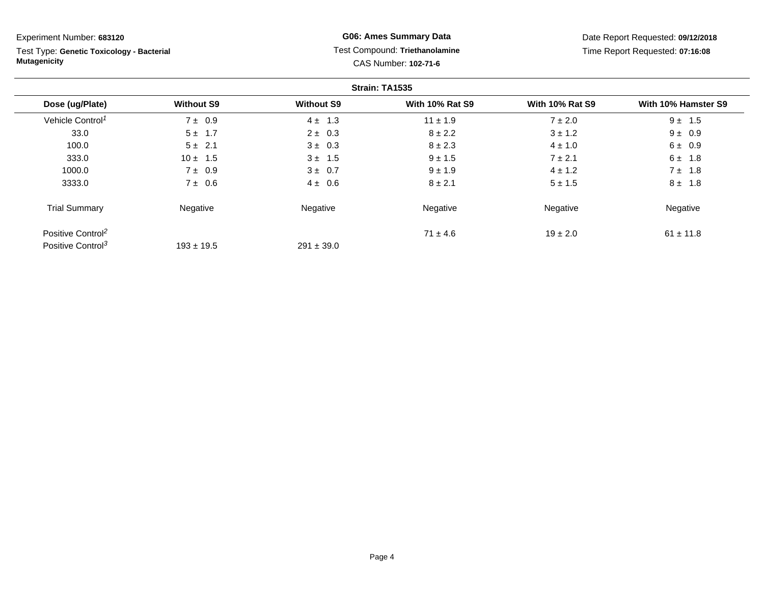Test Type: **Genetic Toxicology - Bacterial Mutagenicity**

## **G06: Ames Summary Data** Test Compound: **Triethanolamine**CAS Number: **102-71-6**

Date Report Requested: **09/12/2018**Time Report Requested: **07:16:08**

|                               |                   |                   | Strain: TA1535         |                        |                     |
|-------------------------------|-------------------|-------------------|------------------------|------------------------|---------------------|
| Dose (ug/Plate)               | <b>Without S9</b> | <b>Without S9</b> | <b>With 10% Rat S9</b> | <b>With 10% Rat S9</b> | With 10% Hamster S9 |
| Vehicle Control <sup>1</sup>  | $7 \pm 0.9$       | $4 \pm 1.3$       | $11 \pm 1.9$           | $7 \pm 2.0$            | $9 \pm 1.5$         |
| 33.0                          | $5 \pm 1.7$       | $2 \pm 0.3$       | $8 \pm 2.2$            | $3 \pm 1.2$            | $9 \pm 0.9$         |
| 100.0                         | $5 \pm 2.1$       | $3 \pm 0.3$       | $8 \pm 2.3$            | $4 \pm 1.0$            | $6 \pm 0.9$         |
| 333.0                         | $10 \pm 1.5$      | $3 \pm 1.5$       | $9 \pm 1.5$            | $7 \pm 2.1$            | $6 \pm 1.8$         |
| 1000.0                        | $7 \pm 0.9$       | $3 \pm 0.7$       | $9 \pm 1.9$            | $4 \pm 1.2$            | $7 \pm 1.8$         |
| 3333.0                        | $7 \pm 0.6$       | $4 \pm 0.6$       | $8 \pm 2.1$            | $5 \pm 1.5$            | $8 \pm 1.8$         |
| <b>Trial Summary</b>          | Negative          | Negative          | Negative               | Negative               | Negative            |
| Positive Control <sup>2</sup> |                   |                   | $71 \pm 4.6$           | $19 \pm 2.0$           | $61 \pm 11.8$       |
| Positive Control <sup>3</sup> | $193 \pm 19.5$    | $291 \pm 39.0$    |                        |                        |                     |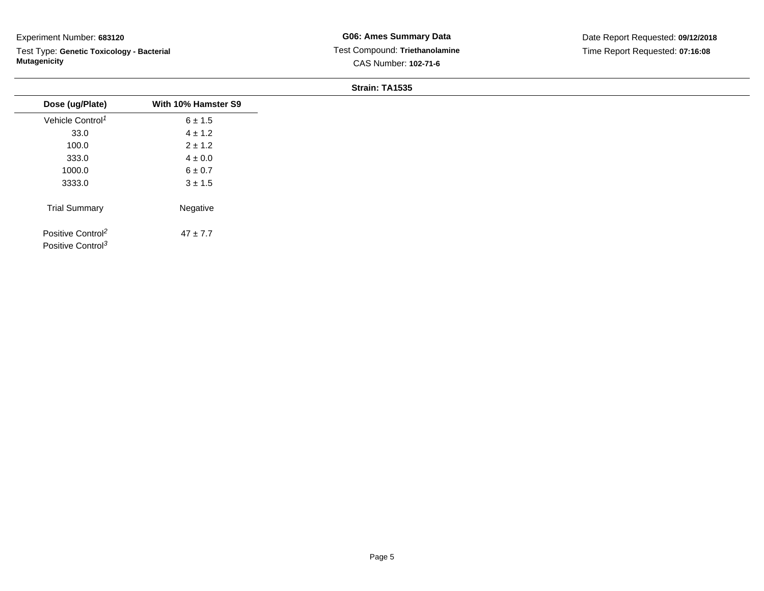Test Type: **Genetic Toxicology - Bacterial Mutagenicity**

| Dose (ug/Plate)                                                | With 10% Hamster S9 |
|----------------------------------------------------------------|---------------------|
| Vehicle Control <sup>1</sup>                                   | $6 \pm 1.5$         |
| 33.0                                                           | $4 \pm 1.2$         |
| 100.0                                                          | $2 \pm 1.2$         |
| 333.0                                                          | $4 \pm 0.0$         |
| 1000.0                                                         | $6\pm0.7$           |
| 3333.0                                                         | $3 \pm 1.5$         |
| <b>Trial Summary</b>                                           | Negative            |
| Positive Control <sup>2</sup><br>Positive Control <sup>3</sup> | $47 \pm 7.7$        |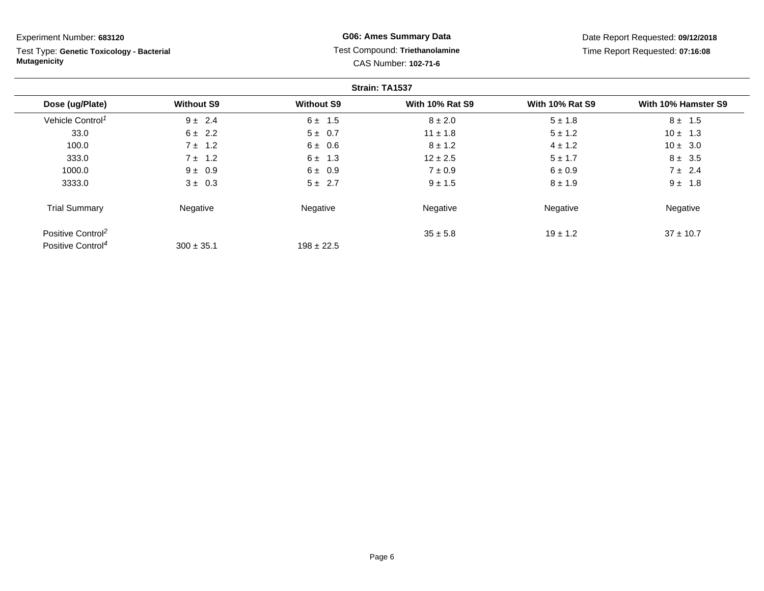Test Type: **Genetic Toxicology - Bacterial Mutagenicity**

## **G06: Ames Summary Data** Test Compound: **Triethanolamine**CAS Number: **102-71-6**

Date Report Requested: **09/12/2018**Time Report Requested: **07:16:08**

|                               |                   |                   | Strain: TA1537         |                        |                     |
|-------------------------------|-------------------|-------------------|------------------------|------------------------|---------------------|
| Dose (ug/Plate)               | <b>Without S9</b> | <b>Without S9</b> | <b>With 10% Rat S9</b> | <b>With 10% Rat S9</b> | With 10% Hamster S9 |
| Vehicle Control <sup>1</sup>  | $9 \pm 2.4$       | $6 \pm 1.5$       | $8 \pm 2.0$            | $5 \pm 1.8$            | $8 \pm 1.5$         |
| 33.0                          | $6 \pm 2.2$       | $5 \pm 0.7$       | $11 \pm 1.8$           | $5 \pm 1.2$            | $10 \pm 1.3$        |
| 100.0                         | $7 \pm 1.2$       | $6 \pm 0.6$       | $8 \pm 1.2$            | $4 \pm 1.2$            | $10 \pm 3.0$        |
| 333.0                         | $7 \pm 1.2$       | $6 \pm 1.3$       | $12 \pm 2.5$           | $5 \pm 1.7$            | $8 \pm 3.5$         |
| 1000.0                        | $9 \pm 0.9$       | $6 \pm 0.9$       | $7 \pm 0.9$            | $6 \pm 0.9$            | $7 \pm 2.4$         |
| 3333.0                        | $3 \pm 0.3$       | $5 \pm 2.7$       | $9 \pm 1.5$            | $8 \pm 1.9$            | $9 \pm 1.8$         |
| <b>Trial Summary</b>          | Negative          | Negative          | Negative               | Negative               | Negative            |
| Positive Control <sup>2</sup> |                   |                   | $35 \pm 5.8$           | $19 \pm 1.2$           | $37 \pm 10.7$       |
| Positive Control <sup>4</sup> | $300 \pm 35.1$    | $198 \pm 22.5$    |                        |                        |                     |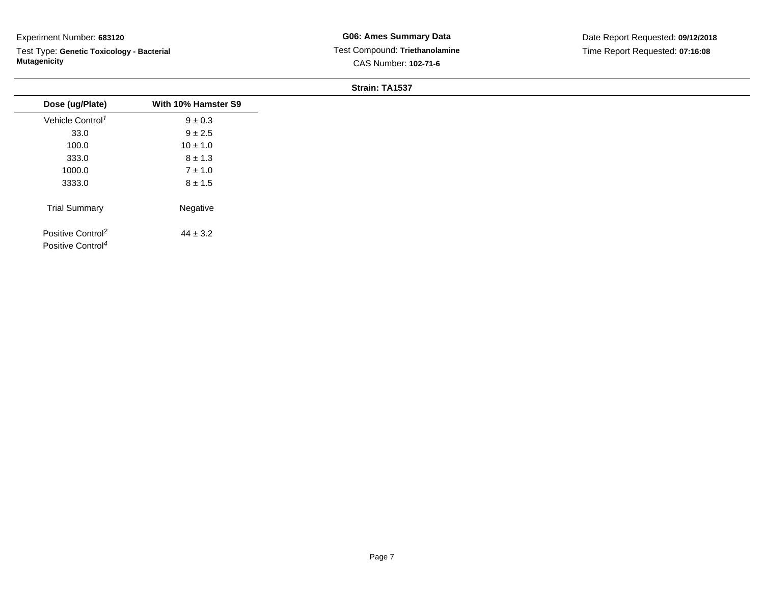Test Type: **Genetic Toxicology - Bacterial Mutagenicity**

| Dose (ug/Plate)                                                | With 10% Hamster S9 |
|----------------------------------------------------------------|---------------------|
| Vehicle Control <sup>1</sup>                                   | $9 \pm 0.3$         |
| 33.0                                                           | $9 \pm 2.5$         |
| 100.0                                                          | $10 \pm 1.0$        |
| 333.0                                                          | $8 \pm 1.3$         |
| 1000.0                                                         | $7 \pm 1.0$         |
| 3333.0                                                         | $8 \pm 1.5$         |
| <b>Trial Summary</b>                                           | Negative            |
| Positive Control <sup>2</sup><br>Positive Control <sup>4</sup> | $44 \pm 3.2$        |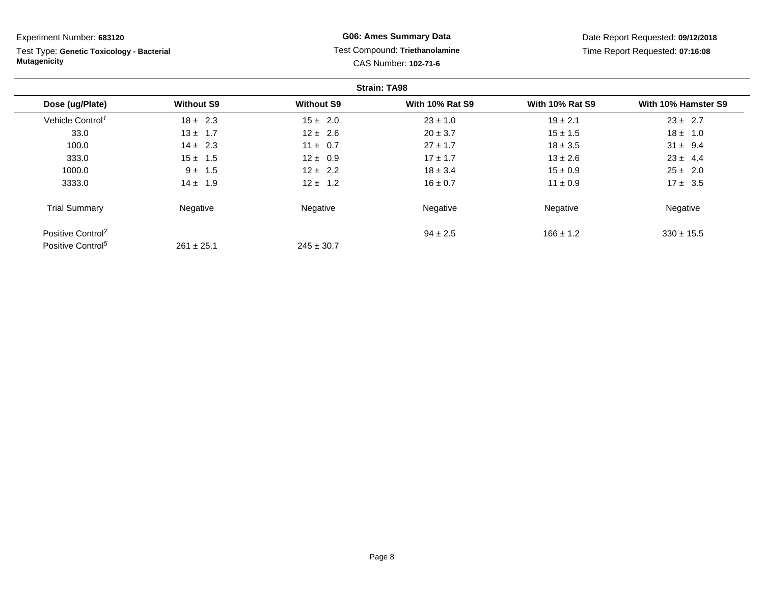| Experiment Number: 683120                                        |                   |                   | <b>G06: Ames Summary Data</b>                          |                        | Date Report Requested: 09/12/2018 |
|------------------------------------------------------------------|-------------------|-------------------|--------------------------------------------------------|------------------------|-----------------------------------|
| Test Type: Genetic Toxicology - Bacterial<br><b>Mutagenicity</b> |                   |                   | Test Compound: Triethanolamine<br>CAS Number: 102-71-6 |                        | Time Report Requested: 07:16:08   |
|                                                                  |                   |                   | <b>Strain: TA98</b>                                    |                        |                                   |
| Dose (ug/Plate)                                                  | <b>Without S9</b> | <b>Without S9</b> | <b>With 10% Rat S9</b>                                 | <b>With 10% Rat S9</b> | With 10% Hamster S9               |
| Vehicle Control <sup>1</sup>                                     | $18 \pm 2.3$      | $15 \pm 2.0$      | $23 \pm 1.0$                                           | $19 \pm 2.1$           | $23 \pm 2.7$                      |
| 33.0                                                             | $13 \pm 1.7$      | $12 \pm 2.6$      | $20 \pm 3.7$                                           | $15 \pm 1.5$           | $18 \pm 1.0$                      |
| 100.0                                                            | $14 \pm 2.3$      | $11 \pm 0.7$      | $27 \pm 1.7$                                           | $18 \pm 3.5$           | $31 \pm 9.4$                      |
| 333.0                                                            | $15 \pm 1.5$      | $12 \pm 0.9$      | $17 \pm 1.7$                                           | $13 \pm 2.6$           | $23 \pm 4.4$                      |
| 1000.0                                                           | $9 \pm 1.5$       | $12 \pm 2.2$      | $18 \pm 3.4$                                           | $15 \pm 0.9$           | $25 \pm 2.0$                      |
| 3333.0                                                           | $14 \pm 1.9$      | $12 \pm 1.2$      | $16 \pm 0.7$                                           | $11 \pm 0.9$           | $17 \pm 3.5$                      |
| <b>Trial Summary</b>                                             | Negative          | Negative          | Negative                                               | Negative               | Negative                          |
| Positive Control <sup>2</sup>                                    |                   |                   | $94 \pm 2.5$                                           | $166 \pm 1.2$          | $330 \pm 15.5$                    |
| Positive Control <sup>5</sup>                                    | $261 \pm 25.1$    | $245 \pm 30.7$    |                                                        |                        |                                   |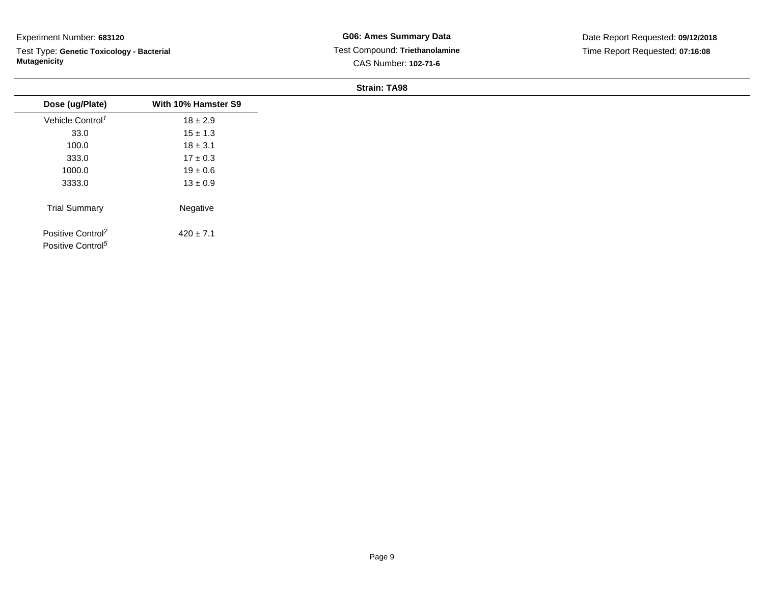Test Type: **Genetic Toxicology - Bacterial Mutagenicity**

| Dose (ug/Plate)               | With 10% Hamster S9 |
|-------------------------------|---------------------|
| Vehicle Control <sup>1</sup>  | $18 \pm 2.9$        |
| 33.0                          | $15 \pm 1.3$        |
| 100.0                         | $18 \pm 3.1$        |
| 333.0                         | $17 \pm 0.3$        |
| 1000.0                        | $19 \pm 0.6$        |
| 3333.0                        | $13 \pm 0.9$        |
| <b>Trial Summary</b>          | Negative            |
| Positive Control <sup>2</sup> | $420 \pm 7.1$       |
| Positive Control <sup>5</sup> |                     |
|                               |                     |